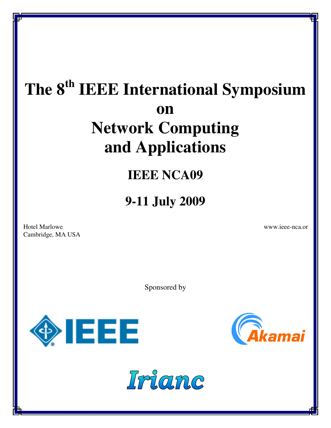# **The 8th IEEE International Symposium on Network Computing and Applications**

# **IEEE NCA09**

**9-11 July 2009** 

Hotel Marlowe www.ieee-nca.org Cambridge, MA USA

Sponsored by





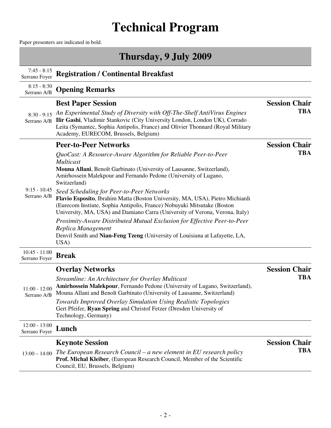# **Technical Program**

Paper presenters are indicated in bold.

### **Thursday, 9 July 2009**

| $7:45 - 8:15$<br>Serrano Foyer   | <b>Registration / Continental Breakfast</b>                                                                                                                                                                                                                                                                    |                                    |
|----------------------------------|----------------------------------------------------------------------------------------------------------------------------------------------------------------------------------------------------------------------------------------------------------------------------------------------------------------|------------------------------------|
| $8:15 - 8:30$<br>Serrano A/B     | <b>Opening Remarks</b>                                                                                                                                                                                                                                                                                         |                                    |
| $8:30 - 9:15$<br>Serrano A/B     | <b>Best Paper Session</b><br>An Experimental Study of Diversity with Off-The-Shelf AntiVirus Engines<br>Ilir Gashi, Vladimir Stankovic (City University London, London UK), Corrado<br>Leita (Symantec, Sophia Antipolis, France) and Olivier Thonnard (Royal Military<br>Academy, EURECOM, Brussels, Belgium) | <b>Session Chair</b><br><b>TBA</b> |
| $9:15 - 10:45$<br>Serrano A/B    | <b>Peer-to-Peer Networks</b><br>QuoCast: A Resource-Aware Algorithm for Reliable Peer-to-Peer<br><b>Multicast</b><br>Mouna Allani, Benoît Garbinato (University of Lausanne, Switzerland),<br>Amirhossein Malekpour and Fernando Pedone (University of Lugano,<br>Switzerland)                                 | <b>Session Chair</b><br><b>TBA</b> |
|                                  | Seed Scheduling for Peer-to-Peer Networks<br>Flavio Esposito, Ibrahim Matta (Boston University, MA, USA), Pietro Michiardi<br>(Eurecom Instiute, Sophia Antipolis, France) Nobuyuki Mitsutake (Boston<br>University, MA, USA) and Damiano Carra (University of Verona, Verona, Italy)                          |                                    |
|                                  | Proximity-Aware Distributed Mutual Exclusion for Effective Peer-to-Peer<br>Replica Management<br>Denvil Smith and Nian-Feng Tzeng (University of Louisiana at Lafayette, LA,<br>USA)                                                                                                                           |                                    |
| $10:45 - 11:00$<br>Serrano Foyer | <b>Break</b>                                                                                                                                                                                                                                                                                                   |                                    |
|                                  | <b>Overlay Networks</b>                                                                                                                                                                                                                                                                                        | <b>Session Chair</b>               |
| $11:00 - 12:00$<br>Serrano A/B   | Streamline: An Architecture for Overlay Multicast<br>Amirhossein Malekpour, Fernando Pedone (University of Lugano, Switzerland),<br>Mouna Allani and Benoît Garbinato (University of Lausanne, Switzerland)                                                                                                    | <b>TBA</b>                         |
|                                  | Towards Improved Overlay Simulation Using Realistic Topologies                                                                                                                                                                                                                                                 |                                    |

*Towards Improved Overlay Simulation Using Realistic Topologies*  Gert Pfeifer, **Ryan Spring** and Christof Fetzer (Dresden University of Technology, Germany)

12:00 - 13:00 Serrano Foyer **Lunch** 

#### **Keynote Session**

| $13:00 - 14:00$ The European Research Council – a new element in EU research policy | TBA |
|-------------------------------------------------------------------------------------|-----|
| <b>Prof. Michal Kleiber, (European Research Council, Member of the Scientific</b>   |     |
| Council, EU, Brussels, Belgium)                                                     |     |

**Session Chair**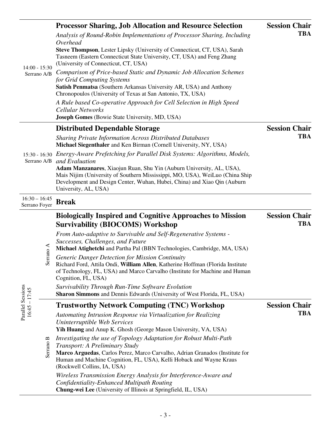|                                  |                                                                                                                                                                                                                                       | <b>Processor Sharing, Job Allocation and Resource Selection</b><br>Analysis of Round-Robin Implementations of Processor Sharing, Including                                                                                                                                                                                                                                      | <b>Session Chair</b><br><b>TBA</b> |
|----------------------------------|---------------------------------------------------------------------------------------------------------------------------------------------------------------------------------------------------------------------------------------|---------------------------------------------------------------------------------------------------------------------------------------------------------------------------------------------------------------------------------------------------------------------------------------------------------------------------------------------------------------------------------|------------------------------------|
| $14:00 - 15:30$<br>Serrano A/B   | Overhead<br>Steve Thompson, Lester Lipsky (University of Connecticut, CT, USA), Sarah<br>Tasneem (Eastern Connecticut State University, CT, USA) and Feng Zhang<br>(University of Connecticut, CT, USA)                               |                                                                                                                                                                                                                                                                                                                                                                                 |                                    |
|                                  | Comparison of Price-based Static and Dynamic Job Allocation Schemes<br>for Grid Computing Systems<br>Satish Penmatsa (Southern Arkansas University AR, USA) and Anthony<br>Chronopoulos (University of Texas at San Antonio, TX, USA) |                                                                                                                                                                                                                                                                                                                                                                                 |                                    |
|                                  |                                                                                                                                                                                                                                       | A Rule based Co-operative Approach for Cell Selection in High Speed<br>Cellular Networks<br><b>Joseph Gomes</b> (Bowie State University, MD, USA)                                                                                                                                                                                                                               |                                    |
|                                  |                                                                                                                                                                                                                                       | <b>Distributed Dependable Storage</b>                                                                                                                                                                                                                                                                                                                                           | <b>Session Chair</b>               |
|                                  |                                                                                                                                                                                                                                       | <b>Sharing Private Information Across Distributed Databases</b><br>Michael Siegenthaler and Ken Birman (Cornell University, NY, USA)                                                                                                                                                                                                                                            | <b>TBA</b>                         |
|                                  |                                                                                                                                                                                                                                       | 15:30 - 16:30 Energy-Aware Prefetching for Parallel Disk Systems: Algorithms, Models,<br>Serrano A/B and Evaluation<br>Adam Manzanares, Xiaojun Ruan, Shu Yin (Auburn University, AL, USA),<br>Mais Nijim (University of Southern Mississippi, MO, USA), WeiLuo (China Ship<br>Development and Design Center, Wuhan, Hubei, China) and Xiao Qin (Auburn<br>University, AL, USA) |                                    |
| $16:30 - 16:45$<br>Serrano Foyer |                                                                                                                                                                                                                                       | <b>Break</b>                                                                                                                                                                                                                                                                                                                                                                    |                                    |
|                                  |                                                                                                                                                                                                                                       | <b>Biologically Inspired and Cognitive Approaches to Mission</b><br><b>Survivability (BIOCOMS) Workshop</b>                                                                                                                                                                                                                                                                     | <b>Session Chair</b><br><b>TBA</b> |
|                                  |                                                                                                                                                                                                                                       | From Auto-adaptive to Survivable and Self-Regenerative Systems -<br>Successes, Challenges, and Future<br>Michael Atighetchi and Partha Pal (BBN Technologies, Cambridge, MA, USA)                                                                                                                                                                                               |                                    |
| Parallel Sessions                | $\Lambda$ onerr<br>ñ                                                                                                                                                                                                                  | <b>Generic Danger Detection for Mission Continuity</b><br>Richard Ford, Attila Ondi, William Allen, Katherine Hoffman (Florida Institute<br>of Technology, FL, USA) and Marco Carvalho (Institute for Machine and Human<br>Cognition, FL, USA)                                                                                                                                  |                                    |
|                                  |                                                                                                                                                                                                                                       | Survivability Through Run-Time Software Evolution<br><b>Sharon Simmons</b> and Dennis Edwards (University of West Florida, FL, USA)                                                                                                                                                                                                                                             |                                    |
| $16:45 - 17:45$                  |                                                                                                                                                                                                                                       | <b>Trustworthy Network Computing (TNC) Workshop</b>                                                                                                                                                                                                                                                                                                                             | <b>Session Chair</b>               |
|                                  |                                                                                                                                                                                                                                       | Automating Intrusion Response via Virtualization for Realizing<br>Uninterruptible Web Services                                                                                                                                                                                                                                                                                  | <b>TBA</b>                         |
|                                  | Serrano B                                                                                                                                                                                                                             | Yih Huang and Anup K. Ghosh (George Mason University, VA, USA)<br>Investigating the use of Topology Adaptation for Robust Multi-Path<br>Transport: A Preliminary Study<br>Marco Arguedas, Carlos Perez, Marco Carvalho, Adrian Granados (Institute for<br>Human and Machine Cognition, FL, USA), Kelli Hoback and Wayne Kraus<br>(Rockwell Collins, IA, USA)                    |                                    |
|                                  |                                                                                                                                                                                                                                       | Wireless Transmission Energy Analysis for Interference-Aware and<br>Confidentiality-Enhanced Multipath Routing<br>Chung-wei Lee (University of Illinois at Springfield, IL, USA)                                                                                                                                                                                                |                                    |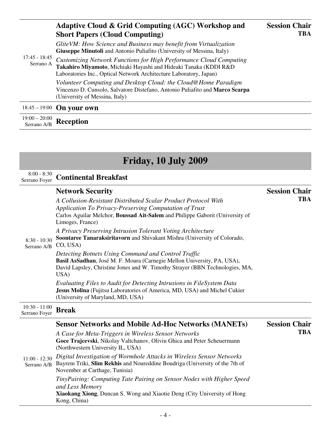|                                | <b>Adaptive Cloud &amp; Grid Computing (AGC) Workshop and</b><br><b>Short Papers (Cloud Computing)</b>                                                                                                       | <b>Session Chair</b><br><b>TBA</b> |
|--------------------------------|--------------------------------------------------------------------------------------------------------------------------------------------------------------------------------------------------------------|------------------------------------|
| $17:45 - 18:45$<br>Serrano A   | GliteVM: How Science and Business may benefit from Virtualization<br><b>Giuseppe Minutoli</b> and Antonio Puliafito (University of Messina, Italy)                                                           |                                    |
|                                | Customizing Network Functions for High Performance Cloud Computing<br>Takahiro Miyamoto, Michiaki Hayashi and Hideaki Tanaka (KDDI R&D<br>Laboratories Inc., Optical Network Architecture Laboratory, Japan) |                                    |
|                                | Volunteer Computing and Desktop Cloud: the Cloud@Home Paradigm<br>Vincenzo D. Cunsolo, Salvatore Distefano, Antonio Puliafito and Marco Scarpa<br>(University of Messina, Italy)                             |                                    |
|                                | $18:45 - 19:00$ On your own                                                                                                                                                                                  |                                    |
| $19:00 - 20:00$<br>Serrano A/B | <b>Reception</b>                                                                                                                                                                                             |                                    |

## **Friday, 10 July 2009**

### 8:00 - 8:30 Serrano Foyer **Continental Breakfast**

|                                  | <b>Network Security</b>                                                                                                                                                                                                       | <b>Session Chair</b> |
|----------------------------------|-------------------------------------------------------------------------------------------------------------------------------------------------------------------------------------------------------------------------------|----------------------|
| $8:30 - 10:30$<br>Serrano A/B    | A Collusion-Resistant Distributed Scalar Product Protocol With<br>Application To Privacy-Preserving Computation of Trust<br>Carlos Aguilar Melchor, Boussad Ait-Salem and Philippe Gaborit (University of<br>Limoges, France) | <b>TBA</b>           |
|                                  | A Privacy Preserving Intrusion Tolerant Voting Architecture<br>Soontaree Tanaraksiritavorn and Shivakant Mishra (University of Colorado,<br>CO, USA)                                                                          |                      |
|                                  | Detecting Botnets Using Command and Control Traffic<br>Basil AsSadhan, José M. F. Moura (Carnegie Mellon University, PA, USA),<br>David Lapsley, Christine Jones and W. Timothy Strayer (BBN Technologies, MA,<br>USA)        |                      |
|                                  | Evaluating Files to Audit for Detecting Intrusions in FileSystem Data<br>Jesus Molina (Fujitsu Laboratories of America, MD, USA) and Michel Cukier<br>(University of Maryland, MD, USA)                                       |                      |
| $10:30 - 11:00$<br>Serrano Foyer | <b>Break</b>                                                                                                                                                                                                                  |                      |
| $11:00 - 12:30$<br>Serrano A/B   | <b>Sensor Networks and Mobile Ad-Hoc Networks (MANETs)</b>                                                                                                                                                                    | <b>Session Chair</b> |
|                                  | A Case for Meta-Triggers in Wireless Sensor Networks<br>Goce Trajcevski, Nikolay Valtchanov, Oliviu Ghica and Peter Scheuermann<br>(Northwestern University IL, USA)                                                          | <b>TBA</b>           |
|                                  | Digital Investigation of Wormhole Attacks in Wireless Sensor Networks<br>Bayrem Triki, Slim Rekhis and Noureddine Boudriga (University of the 7th of<br>November at Carthage, Tunisia)                                        |                      |
|                                  | TinyPairing: Computing Tate Pairing on Sensor Nodes with Higher Speed<br>and Less Memory<br>Xiaokang Xiong, Duncan S. Wong and Xiaotie Deng (City University of Hong                                                          |                      |
|                                  | Kong, China)                                                                                                                                                                                                                  |                      |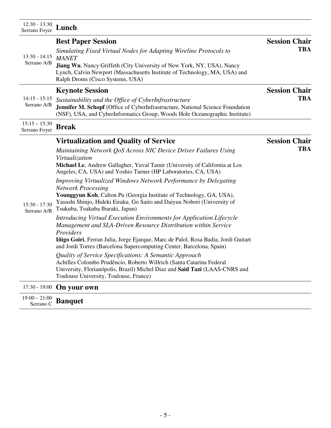| 12:30 - 13:30<br>Serrano Foyer   | Lunch                                                                                                                                                                                                                                                                                                                                                                                                                                                                                                                                                                                                                                                                                                                                                                                                                                                                                                                                                                                                                                                                                                                                                     |                                    |
|----------------------------------|-----------------------------------------------------------------------------------------------------------------------------------------------------------------------------------------------------------------------------------------------------------------------------------------------------------------------------------------------------------------------------------------------------------------------------------------------------------------------------------------------------------------------------------------------------------------------------------------------------------------------------------------------------------------------------------------------------------------------------------------------------------------------------------------------------------------------------------------------------------------------------------------------------------------------------------------------------------------------------------------------------------------------------------------------------------------------------------------------------------------------------------------------------------|------------------------------------|
| $13:30 - 14:15$<br>Serrano A/B   | <b>Best Paper Session</b><br>Simulating Fixed Virtual Nodes for Adapting Wireline Protocols to<br><b>MANET</b><br>Jiang Wu, Nancy Griffeth (City University of New York, NY, USA), Nancy<br>Lynch, Calvin Newport (Massachusetts Institute of Technology, MA, USA) and<br>Ralph Droms (Cisco Systems, USA)                                                                                                                                                                                                                                                                                                                                                                                                                                                                                                                                                                                                                                                                                                                                                                                                                                                | <b>Session Chair</b><br><b>TBA</b> |
| 14:15 - 15:15<br>Serrano A/B     | <b>Keynote Session</b><br>Sustainability and the Office of CyberInfrastructure<br>Jennifer M. Schopf (Office of CyberInfrastructure, National Science Foundation<br>(NSF), USA, and CyberInformatics Group, Woods Hole Oceanographic Institute)                                                                                                                                                                                                                                                                                                                                                                                                                                                                                                                                                                                                                                                                                                                                                                                                                                                                                                           | <b>Session Chair</b><br><b>TBA</b> |
| $15:15 - 15:30$<br>Serrano Foyer | <b>Break</b>                                                                                                                                                                                                                                                                                                                                                                                                                                                                                                                                                                                                                                                                                                                                                                                                                                                                                                                                                                                                                                                                                                                                              |                                    |
| 15:30 - 17:30<br>Serrano A/B     | <b>Virtualization and Quality of Service</b><br>Maintaining Network QoS Across NIC Device Driver Failures Using<br>Virtualization<br>Michael Le, Andrew Gallagher, Yuval Tamir (University of California at Los<br>Angeles, CA, USA) and Yoshio Turner (HP Laboratories, CA, USA)<br>Improving Virtualized Windows Network Performance by Delegating<br><b>Network Processing</b><br>Younggyun Koh, Calton Pu (Georgia Institute of Technology, GA, USA),<br>Yasushi Shinjo, Hideki Eiraku, Go Saito and Daiyuu Nobori (University of<br>Tsukuba, Tsukuba Ibaraki, Japan)<br>Introducing Virtual Execution Environments for Application Lifecycle<br>Management and SLA-Driven Resource Distribution within Service<br>Providers<br>Iñigo Goiri, Ferran Julia, Jorge Ejarque, Marc de Palol, Rosa Badia, Jordi Guitart<br>and Jordi Torres (Barcelona Supercomputing Center, Barcelona, Spain)<br>Quality of Service Specifications: A Semantic Approach<br>Achilles Colombo Prudêncio, Roberto Willrich (Santa Catarina Federal<br>University, Florianópolis, Brazil) Michel Diaz and Said Tazi (LAAS-CNRS and<br>Toulouse University, Toulouse, France) | <b>Session Chair</b><br><b>TBA</b> |
|                                  | 17:30 - 19:00 On your own                                                                                                                                                                                                                                                                                                                                                                                                                                                                                                                                                                                                                                                                                                                                                                                                                                                                                                                                                                                                                                                                                                                                 |                                    |
| $10.00 - 21.00$                  |                                                                                                                                                                                                                                                                                                                                                                                                                                                                                                                                                                                                                                                                                                                                                                                                                                                                                                                                                                                                                                                                                                                                                           |                                    |

19:00 – 21:00 Serrano C **Banquet**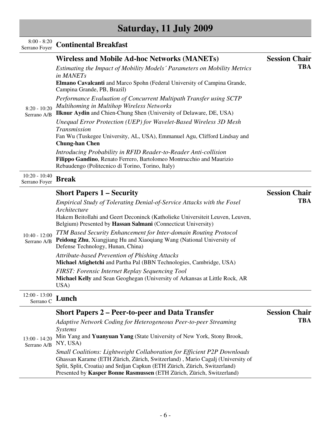# **Saturday, 11 July 2009**

### 8:00 - 8:20 Serrano Foyer **Continental Breakfast**

| $8:20 - 10:20$<br>Serrano A/B    | <b>Wireless and Mobile Ad-hoc Networks (MANETs)</b>                                                                                                                                                  | <b>Session Chair</b> |
|----------------------------------|------------------------------------------------------------------------------------------------------------------------------------------------------------------------------------------------------|----------------------|
|                                  | Estimating the Impact of Mobility Models' Parameters on Mobility Metrics<br>in MANETs                                                                                                                | <b>TBA</b>           |
|                                  | Elmano Cavalcanti and Marco Spohn (Federal University of Campina Grande,<br>Campina Grande, PB, Brazil)                                                                                              |                      |
|                                  | Performance Evaluation of Concurrent Multipath Transfer using SCTP<br><b>Multihoming in Multihop Wireless Networks</b><br><b>Ilknur Aydin</b> and Chien-Chung Shen (University of Delaware, DE, USA) |                      |
|                                  | Unequal Error Protection (UEP) for Wavelet-Based Wireless 3D Mesh<br>Transmission<br>Fan Wu (Tuskegee University, AL, USA), Emmanuel Agu, Clifford Lindsay and                                       |                      |
|                                  | <b>Chung-han Chen</b><br>Introducing Probability in RFID Reader-to-Reader Anti-collision                                                                                                             |                      |
|                                  | Filippo Gandino, Renato Ferrero, Bartolomeo Montrucchio and Maurizio<br>Rebaudengo (Politecnico di Torino, Torino, Italy)                                                                            |                      |
| $10:20 - 10:40$<br>Serrano Foyer | <b>Break</b>                                                                                                                                                                                         |                      |

| $10:40 - 12:00$<br>Serrano A/B | <b>Short Papers 1 – Security</b>                                                                                                                                                                                                         | <b>Session Chair</b> |
|--------------------------------|------------------------------------------------------------------------------------------------------------------------------------------------------------------------------------------------------------------------------------------|----------------------|
|                                | Empirical Study of Tolerating Denial-of-Service Attacks with the Fosel<br>Architecture<br>Hakem Beitollahi and Geert Deconinck (Katholieke Universiteit Leuven, Leuven,<br>Belgium) Presented by Hassan Salmani (Connecticut University) | <b>TBA</b>           |
|                                | TTM Based Security Enhancement for Inter-domain Routing Protocol<br><b>Peidong Zhu, Xiangjiang Hu and Xiaoqiang Wang (National University of</b><br>Defense Technology, Hunan, China)                                                    |                      |
|                                | <b>Attribute-based Prevention of Phishing Attacks</b><br>Michael Atighetchi and Partha Pal (BBN Technologies, Cambridge, USA)                                                                                                            |                      |
|                                | <b>FIRST: Forensic Internet Replay Sequencing Tool</b><br>Michael Kelly and Sean Geoghegan (University of Arkansas at Little Rock, AR<br>USA)                                                                                            |                      |
| 10.00 $12.00$                  |                                                                                                                                                                                                                                          |                      |

12:00 - 13:00 Serrano C **Lunch** 

|                                | <b>Short Papers 2 – Peer-to-peer and Data Transfer</b>                         | <b>Session Chair</b> |
|--------------------------------|--------------------------------------------------------------------------------|----------------------|
| $13:00 - 14:20$<br>Serrano A/B | Adaptive Network Coding for Heterogeneous Peer-to-peer Streaming               | <b>TBA</b>           |
|                                | Systems                                                                        |                      |
|                                | Min Yang and Yuanyuan Yang (State University of New York, Stony Brook,         |                      |
|                                | NY, USA)                                                                       |                      |
|                                | <b>Small Coalitions: Lightweight Collaboration for Efficient P2P Downloads</b> |                      |
|                                | Ghassan Karame (ETH Zürich, Zürich, Switzerland), Mario Cagalj (University of  |                      |
|                                | Split, Split, Croatia) and Srdjan Capkun (ETH Zürich, Zürich, Switzerland)     |                      |
|                                | Presented by Kasper Bonne Rasmussen (ETH Zürich, Zürich, Switzerland)          |                      |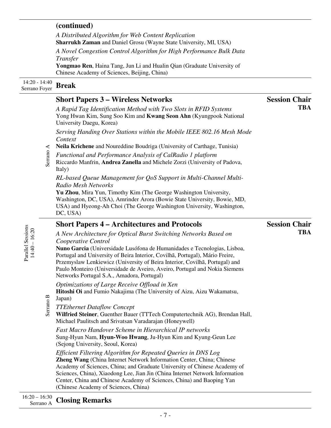#### **(continued)**

*A Distributed Algorithm for Web Content Replication* **Sharrukh Zaman** and Daniel Grosu (Wayne State University, MI, USA)

*A Novel Congestion Control Algorithm for High Performance Bulk Data Transfer* 

**Yongmao Ren**, Haina Tang, Jun Li and Hualin Qian (Graduate University of Chinese Academy of Sciences, Beijing, China)

| $14:20 - 14:40$ | <b>Break</b> |
|-----------------|--------------|
| Serrano Foyer   |              |

#### **Short Papers 3 – Wireless Networks**

*A Rapid Tag Identification Method with Two Slots in RFID Systems* Yong Hwan Kim, Sung Soo Kim and **Kwang Seon Ahn** (Kyungpook National University Daegu, Korea)

**Session Chair**

**Session Chair**

**TBA**

**TBA**

*Serving Handing Over Stations within the Mobile IEEE 802.16 Mesh Mode Context* 

**Neila Krichene** and Noureddine Boudriga (University of Carthage, Tunisia)

*Functional and Performance Analysis of CalRadio 1 platform*

Riccardo Manfrin, **Andrea Zanella** and Michele Zorzi (University of Padova, Italy)

#### *RL-based Queue Management for QoS Support in Multi-Channel Multi-Radio Mesh Networks*

**Yu Zhou**, Mira Yun, Timothy Kim (The George Washington University, Washington, DC, USA), Amrinder Arora (Bowie State University, Bowie, MD, USA) and Hyeong-Ah Choi (The George Washington University, Washington, DC, USA)

#### **Short Papers 4 – Architectures and Protocols**

*A New Architecture for Optical Burst Switching Networks Based on Cooperative Control* 

**Nuno Garcia** (Universidade Lusófona de Humanidades e Tecnologias, Lisboa, Portugal and University of Beira Interior, Covilhã, Portugal), Mário Freire, Przemyslaw Lenkiewicz (University of Beira Interior, Covilhã, Portugal) and Paulo Monteiro (Universidade de Aveiro, Aveiro, Portugal and Nokia Siemens Networks Portugal S.A., Amadora, Portugal)

*Optimizations of Large Receive Offload in Xen* 

**Hitoshi Oi** and Fumio Nakajima (The University of Aizu, Aizu Wakamatsu,

- Japan)
- Serrano B *TTEthernet Dataflow Concept*

**Wilfried Steiner**, Guenther Bauer (TTTech Computertechnik AG), Brendan Hall, Michael Paulitsch and Srivatsan Varadarajan (Honeywell)

*Fast Macro Handover Scheme in Hierarchical IP networks* Sung-Hyun Nam, **Hyun-Woo Hwang**, Ju-Hyun Kim and Kyung-Geun Lee (Sejong University, Seoul, Korea)

*Efficient Filtering Algorithm for Repeated Queries in DNS Log*  **Zheng Wang** (China Internet Network Information Center, China; Chinese Academy of Sciences, China; and Graduate University of Chinese Academy of Sciences, China), Xiaodong Lee, Jian Jin (China Internet Network Information Center, China and Chinese Academy of Sciences, China) and Baoping Yan (Chinese Academy of Sciences, China)

16:20 – 16:30 Serrano A **Closing Remarks**